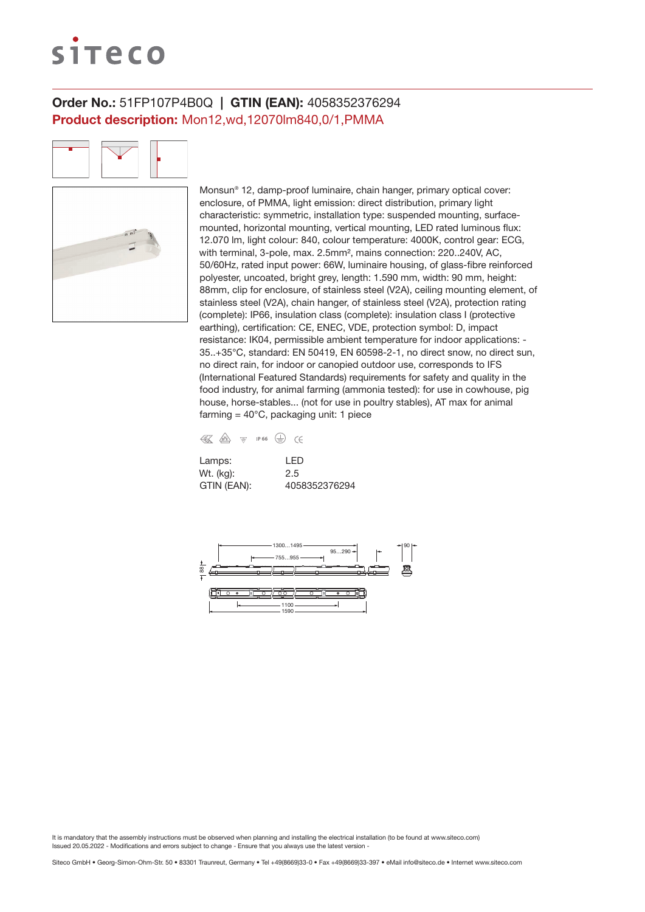# siteco

# Order No.: 51FP107P4B0Q | GTIN (EAN): 4058352376294 Product description: Mon12,wd,12070lm840,0/1,PMMA

Monsun® 12, damp-proof luminaire, chain hanger, primary optical cover: enclosure, of PMMA, light emission: direct distribution, primary light characteristic: symmetric, installation type: suspended mounting, surfacemounted, horizontal mounting, vertical mounting, LED rated luminous flux: 12.070 lm, light colour: 840, colour temperature: 4000K, control gear: ECG, with terminal, 3-pole, max. 2.5mm<sup>2</sup>, mains connection: 220, 240V, AC, 50/60Hz, rated input power: 66W, luminaire housing, of glass-fibre reinforced polyester, uncoated, bright grey, length: 1.590 mm, width: 90 mm, height: 88mm, clip for enclosure, of stainless steel (V2A), ceiling mounting element, of stainless steel (V2A), chain hanger, of stainless steel (V2A), protection rating (complete): IP66, insulation class (complete): insulation class I (protective earthing), certification: CE, ENEC, VDE, protection symbol: D, impact resistance: IK04, permissible ambient temperature for indoor applications: - 35..+35°C, standard: EN 50419, EN 60598-2-1, no direct snow, no direct sun, no direct rain, for indoor or canopied outdoor use, corresponds to IFS (International Featured Standards) requirements for safety and quality in the food industry, for animal farming (ammonia tested): for use in cowhouse, pig house, horse-stables... (not for use in poultry stables), AT max for animal farming =  $40^{\circ}$ C, packaging unit: 1 piece

| € | / <sub>D</sub> V <sub>E</sub> | VD/ | IP 66 |  |
|---|-------------------------------|-----|-------|--|

| Lamps:      | I FD          |
|-------------|---------------|
| Wt. (kg):   | 2.5           |
| GTIN (EAN): | 4058352376294 |

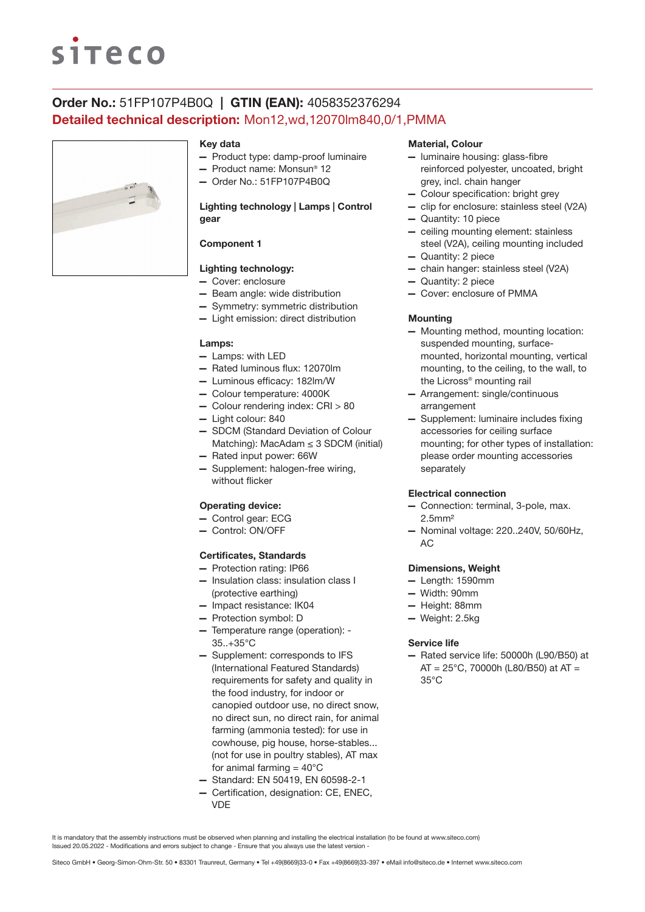# **siteco**

# Order No.: 51FP107P4B0Q | GTIN (EAN): 4058352376294 Detailed technical description: Mon12,wd,12070lm840,0/1,PMMA



### Key data

- Product type: damp-proof luminaire
- Product name: Monsun® 12
- Order No.: 51FP107P4B0Q

## Lighting technology | Lamps | Control gear

# Component 1

# Lighting technology:

- Cover: enclosure
- Beam angle: wide distribution
- Symmetry: symmetric distribution
- Light emission: direct distribution

#### Lamps:

- Lamps: with LED
- Rated luminous flux: 12070lm
- Luminous efficacy: 182lm/W
- Colour temperature: 4000K
- Colour rendering index: CRI > 80
- Light colour: 840
- SDCM (Standard Deviation of Colour Matching): MacAdam  $\leq$  3 SDCM (initial)
- Rated input power: 66W
- Supplement: halogen-free wiring, without flicker

### Operating device:

- Control gear: ECG
- Control: ON/OFF

### Certificates, Standards

- Protection rating: IP66
- Insulation class: insulation class I (protective earthing)
- Impact resistance: IK04
- Protection symbol: D
- Temperature range (operation): 35..+35°C
- Supplement: corresponds to IFS (International Featured Standards) requirements for safety and quality in the food industry, for indoor or canopied outdoor use, no direct snow, no direct sun, no direct rain, for animal farming (ammonia tested): for use in cowhouse, pig house, horse-stables... (not for use in poultry stables), AT max for animal farming  $= 40^{\circ}$ C
- Standard: EN 50419, EN 60598-2-1
- Certification, designation: CE, ENEC, VDE

### Material, Colour

- luminaire housing: glass-fibre reinforced polyester, uncoated, bright grey, incl. chain hanger
- Colour specification: bright grey
- clip for enclosure: stainless steel (V2A)
- Quantity: 10 piece
- ceiling mounting element: stainless steel (V2A), ceiling mounting included
- Quantity: 2 piece
- chain hanger: stainless steel (V2A)
- Quantity: 2 piece
- Cover: enclosure of PMMA

#### **Mounting**

- Mounting method, mounting location: suspended mounting, surfacemounted, horizontal mounting, vertical mounting, to the ceiling, to the wall, to the Licross® mounting rail
- Arrangement: single/continuous arrangement
- Supplement: luminaire includes fixing accessories for ceiling surface mounting; for other types of installation: please order mounting accessories separately

#### Electrical connection

- Connection: terminal, 3-pole, max. 2.5mm²
- Nominal voltage: 220..240V, 50/60Hz, AC

#### Dimensions, Weight

- Length: 1590mm
- Width: 90mm
- Height: 88mm
- Weight: 2.5kg

#### Service life

— Rated service life: 50000h (L90/B50) at  $AT = 25^{\circ}$ C, 70000h (L80/B50) at AT = 35°C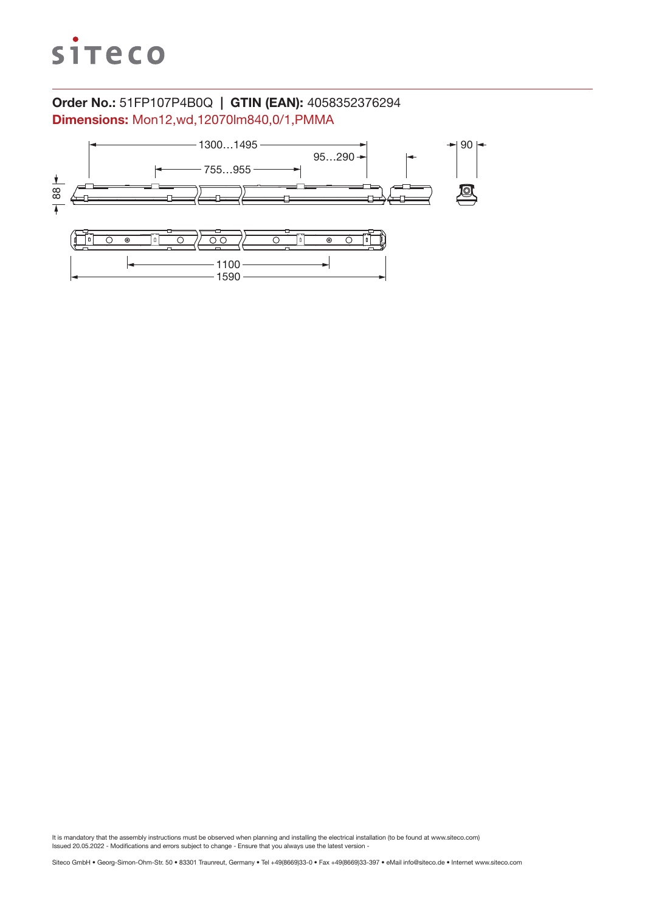

# Order No.: 51FP107P4B0Q | GTIN (EAN): 4058352376294 Dimensions: Mon12,wd,12070lm840,0/1,PMMA